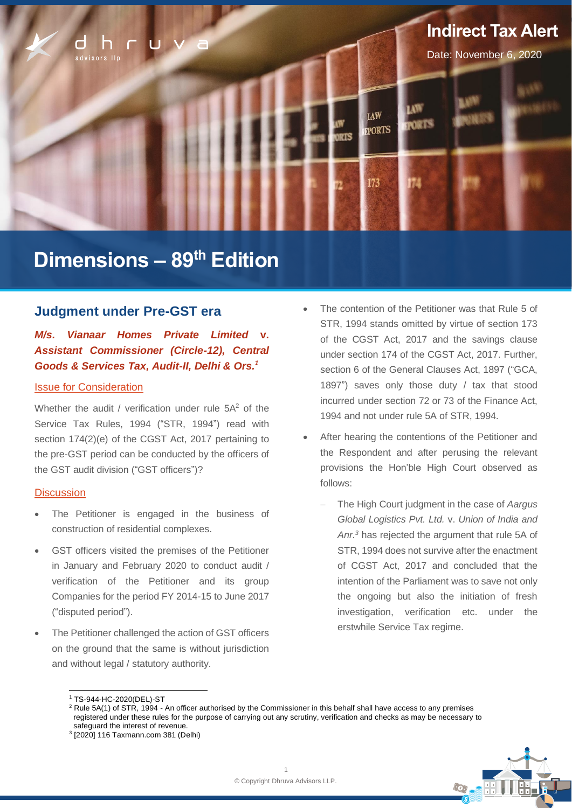

# **Dimensions – 89 th Edition**

# **Judgment under Pre-GST era**

*M/s. Vianaar Homes Private Limited* **v.**  *Assistant Commissioner (Circle-12), Central Goods & Services Tax, Audit-II, Delhi & Ors.<sup>1</sup>*

## Issue for Consideration

Whether the audit / verification under rule 5A<sup>2</sup> of the Service Tax Rules, 1994 ("STR, 1994") read with section 174(2)(e) of the CGST Act, 2017 pertaining to the pre-GST period can be conducted by the officers of the GST audit division ("GST officers")?

## **Discussion**

- The Petitioner is engaged in the business of construction of residential complexes.
- GST officers visited the premises of the Petitioner in January and February 2020 to conduct audit / verification of the Petitioner and its group Companies for the period FY 2014-15 to June 2017 ("disputed period").
- The Petitioner challenged the action of GST officers on the ground that the same is without jurisdiction and without legal / statutory authority.
- The contention of the Petitioner was that Rule 5 of STR, 1994 stands omitted by virtue of section 173 of the CGST Act, 2017 and the savings clause under section 174 of the CGST Act, 2017. Further, section 6 of the General Clauses Act, 1897 ("GCA, 1897") saves only those duty / tax that stood incurred under section 72 or 73 of the Finance Act, 1994 and not under rule 5A of STR, 1994.
- After hearing the contentions of the Petitioner and the Respondent and after perusing the relevant provisions the Hon'ble High Court observed as follows:
	- − The High Court judgment in the case of *Aargus Global Logistics Pvt. Ltd.* v. *Union of India and Anr.<sup>3</sup>* has rejected the argument that rule 5A of STR, 1994 does not survive after the enactment of CGST Act, 2017 and concluded that the intention of the Parliament was to save not only the ongoing but also the initiation of fresh investigation, verification etc. under the erstwhile Service Tax regime.



<sup>1</sup> TS-944-HC-2020(DEL)-ST

 $2$  Rule 5A(1) of STR, 1994 - An officer authorised by the Commissioner in this behalf shall have access to any premises registered under these rules for the purpose of carrying out any scrutiny, verification and checks as may be necessary to safeguard the interest of revenue.

<sup>3</sup> [2020] 116 Taxmann.com 381 (Delhi)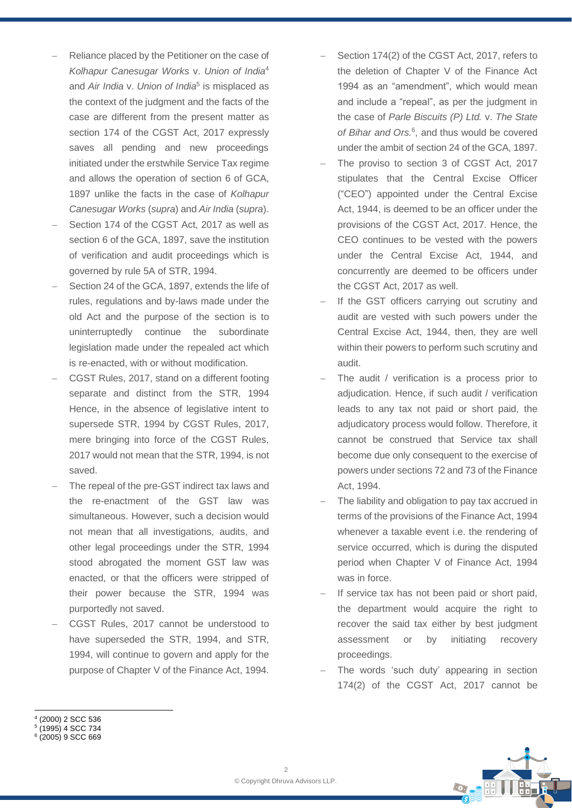- Reliance placed by the Petitioner on the case of *Kolhapur Canesugar Works* v. *Union of India*<sup>4</sup> and *Air India* v. *Union of India*<sup>5</sup> is misplaced as the context of the judgment and the facts of the case are different from the present matter as section 174 of the CGST Act, 2017 expressly saves all pending and new proceedings initiated under the erstwhile Service Tax regime and allows the operation of section 6 of GCA, 1897 unlike the facts in the case of *Kolhapur Canesugar Works* (*supra*) and *Air India* (*supra*).
- Section 174 of the CGST Act, 2017 as well as section 6 of the GCA, 1897, save the institution of verification and audit proceedings which is governed by rule 5A of STR, 1994.
- Section 24 of the GCA, 1897, extends the life of rules, regulations and by-laws made under the old Act and the purpose of the section is to uninterruptedly continue the subordinate legislation made under the repealed act which is re-enacted, with or without modification.
- − CGST Rules, 2017, stand on a different footing separate and distinct from the STR, 1994 Hence, in the absence of legislative intent to supersede STR, 1994 by CGST Rules, 2017, mere bringing into force of the CGST Rules, 2017 would not mean that the STR, 1994, is not saved.
- The repeal of the pre-GST indirect tax laws and the re-enactment of the GST law was simultaneous. However, such a decision would not mean that all investigations, audits, and other legal proceedings under the STR, 1994 stood abrogated the moment GST law was enacted, or that the officers were stripped of their power because the STR, 1994 was purportedly not saved.
- − CGST Rules, 2017 cannot be understood to have superseded the STR, 1994, and STR, 1994, will continue to govern and apply for the purpose of Chapter V of the Finance Act, 1994.
- Section 174(2) of the CGST Act, 2017, refers to the deletion of Chapter V of the Finance Act 1994 as an "amendment", which would mean and include a "repeal", as per the judgment in the case of *Parle Biscuits (P) Ltd.* v. *The State of Bihar and Ors.*<sup>6</sup> , and thus would be covered under the ambit of section 24 of the GCA, 1897.
- The proviso to section 3 of CGST Act, 2017 stipulates that the Central Excise Officer ("CEO") appointed under the Central Excise Act, 1944, is deemed to be an officer under the provisions of the CGST Act, 2017. Hence, the CEO continues to be vested with the powers under the Central Excise Act, 1944, and concurrently are deemed to be officers under the CGST Act, 2017 as well.
- If the GST officers carrying out scrutiny and audit are vested with such powers under the Central Excise Act, 1944, then, they are well within their powers to perform such scrutiny and audit.
- The audit / verification is a process prior to adjudication. Hence, if such audit / verification leads to any tax not paid or short paid, the adjudicatory process would follow. Therefore, it cannot be construed that Service tax shall become due only consequent to the exercise of powers under sections 72 and 73 of the Finance Act, 1994.
- The liability and obligation to pay tax accrued in terms of the provisions of the Finance Act, 1994 whenever a taxable event i.e. the rendering of service occurred, which is during the disputed period when Chapter V of Finance Act, 1994 was in force.
- If service tax has not been paid or short paid, the department would acquire the right to recover the said tax either by best judgment assessment or by initiating recovery proceedings.
- The words 'such duty' appearing in section 174(2) of the CGST Act, 2017 cannot be

<sup>5</sup> (1995) 4 SCC 734





<sup>4</sup> (2000) 2 SCC 536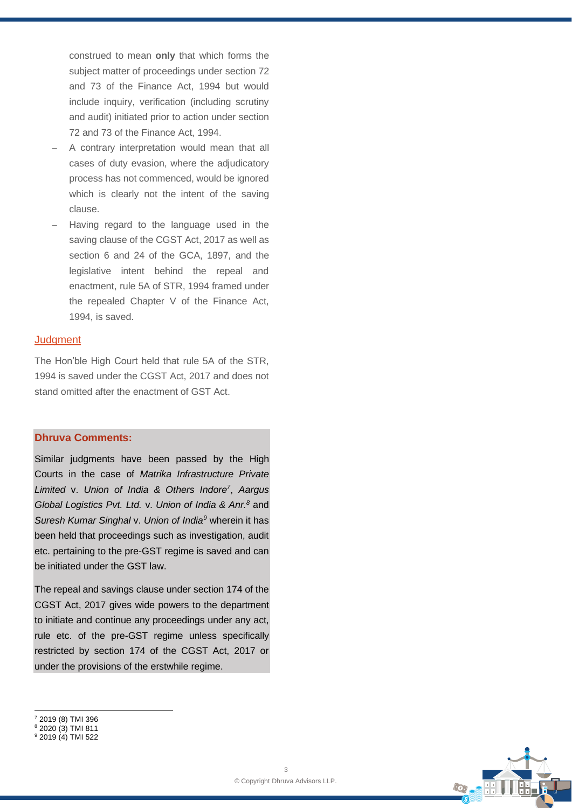construed to mean **only** that which forms the subject matter of proceedings under section 72 and 73 of the Finance Act, 1994 but would include inquiry, verification (including scrutiny and audit) initiated prior to action under section 72 and 73 of the Finance Act, 1994.

- − A contrary interpretation would mean that all cases of duty evasion, where the adjudicatory process has not commenced, would be ignored which is clearly not the intent of the saving clause.
- − Having regard to the language used in the saving clause of the CGST Act, 2017 as well as section 6 and 24 of the GCA, 1897, and the legislative intent behind the repeal and enactment, rule 5A of STR, 1994 framed under the repealed Chapter V of the Finance Act, 1994, is saved.

# **Judgment**

The Hon'ble High Court held that rule 5A of the STR, 1994 is saved under the CGST Act, 2017 and does not stand omitted after the enactment of GST Act.

## **Dhruva Comments:**

Similar judgments have been passed by the High Courts in the case of *Matrika Infrastructure Private Limited* v. *Union of India & Others Indore<sup>7</sup>* , *Aargus Global Logistics Pvt. Ltd.* v. *Union of India & Anr.<sup>8</sup>* and *Suresh Kumar Singhal* v. *Union of India<sup>9</sup>* wherein it has been held that proceedings such as investigation, audit etc. pertaining to the pre-GST regime is saved and can be initiated under the GST law.

The repeal and savings clause under section 174 of the CGST Act, 2017 gives wide powers to the department to initiate and continue any proceedings under any act, rule etc. of the pre-GST regime unless specifically restricted by section 174 of the CGST Act, 2017 or under the provisions of the erstwhile regime.



<sup>7</sup> 2019 (8) TMI 396

<sup>8</sup> 2020 (3) TMI 811

<sup>9</sup> 2019 (4) TMI 522